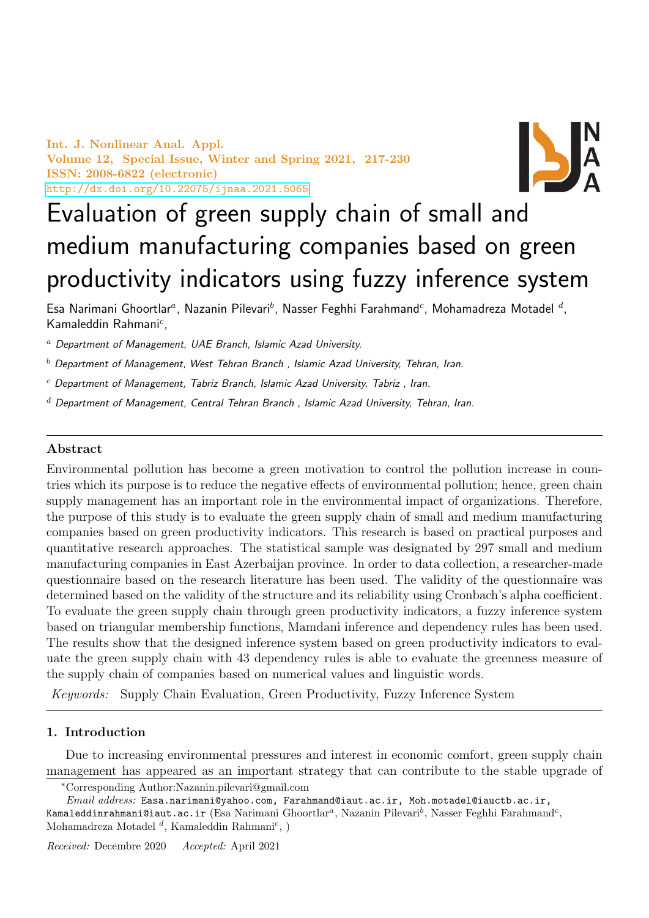Int. J. Nonlinear Anal. Appl. Volume 12, Special Issue, Winter and Spring 2021, 217-230 ISSN: 2008-6822 (electronic) <http://dx.doi.org/10.22075/ijnaa.2021.5065>



# Evaluation of green supply chain of small and medium manufacturing companies based on green productivity indicators using fuzzy inference system

Esa Narimani Ghoortlar<sup>a</sup>, Nazanin Pilevari<sup>b</sup>, Nasser Feghhi Farahmand<sup>c</sup>, Mohamadreza Motadel <sup>d</sup>, Kamaleddin Rahmani<sup>c</sup>,

<sup>a</sup> Department of Management, UAE Branch, Islamic Azad University.

- $<sup>b</sup>$  Department of Management, West Tehran Branch, Islamic Azad University, Tehran, Iran.</sup>
- $c$  Department of Management, Tabriz Branch, Islamic Azad University, Tabriz, Iran.
- $d$  Department of Management, Central Tehran Branch, Islamic Azad University, Tehran, Iran.

# Abstract

Environmental pollution has become a green motivation to control the pollution increase in countries which its purpose is to reduce the negative effects of environmental pollution; hence, green chain supply management has an important role in the environmental impact of organizations. Therefore, the purpose of this study is to evaluate the green supply chain of small and medium manufacturing companies based on green productivity indicators. This research is based on practical purposes and quantitative research approaches. The statistical sample was designated by 297 small and medium manufacturing companies in East Azerbaijan province. In order to data collection, a researcher-made questionnaire based on the research literature has been used. The validity of the questionnaire was determined based on the validity of the structure and its reliability using Cronbach's alpha coefficient. To evaluate the green supply chain through green productivity indicators, a fuzzy inference system based on triangular membership functions, Mamdani inference and dependency rules has been used. The results show that the designed inference system based on green productivity indicators to evaluate the green supply chain with 43 dependency rules is able to evaluate the greenness measure of the supply chain of companies based on numerical values and linguistic words.

Keywords: Supply Chain Evaluation, Green Productivity, Fuzzy Inference System

## 1. Introduction

Due to increasing environmental pressures and interest in economic comfort, green supply chain management has appeared as an important strategy that can contribute to the stable upgrade of

<sup>∗</sup>Corresponding Author:Nazanin.pilevari@gmail.com

Email address: Easa.narimani@yahoo.com, Farahmand@iaut.ac.ir, Moh.motadel@iauctb.ac.ir, Kamaleddinrahmani@iaut.ac.ir (Esa Narimani Ghoortlar ${}^a,$  Nazanin Pilevari ${}^b,$  Nasser Feghhi Farahmand ${}^c,$ Mohamadreza Motadel  $^d$ , Kamaleddin Rahmani<sup>c</sup>, )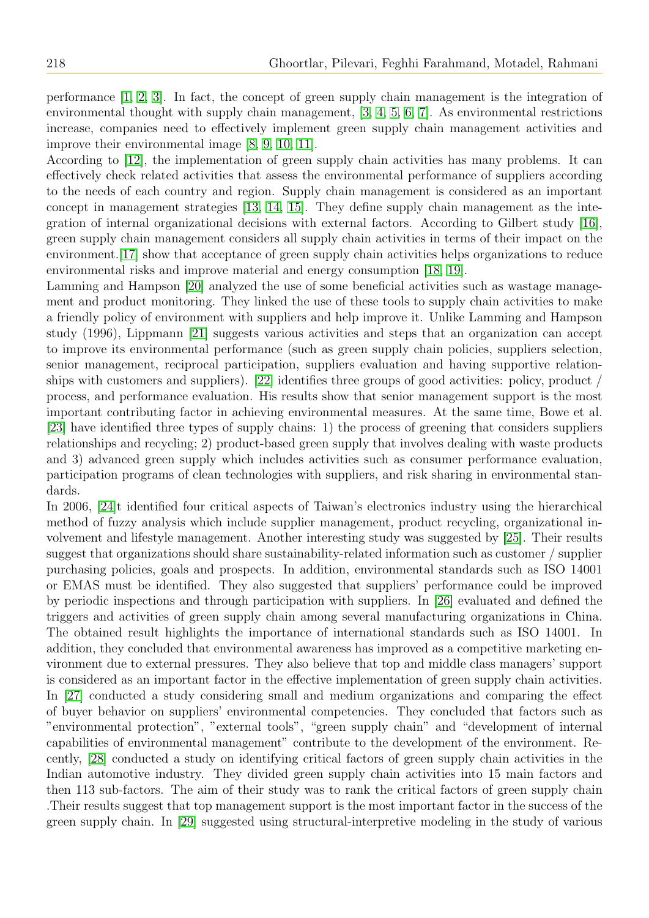performance [\[1,](#page-12-0) [2,](#page-12-1) [3\]](#page-12-2). In fact, the concept of green supply chain management is the integration of environmental thought with supply chain management, [\[3,](#page-12-2) [4,](#page-12-3) [5,](#page-12-4) [6,](#page-12-5) [7\]](#page-12-6). As environmental restrictions increase, companies need to effectively implement green supply chain management activities and improve their environmental image [\[8,](#page-12-7) [9,](#page-12-8) [10,](#page-12-9) [11\]](#page-12-10).

According to [\[12\]](#page-12-11), the implementation of green supply chain activities has many problems. It can effectively check related activities that assess the environmental performance of suppliers according to the needs of each country and region. Supply chain management is considered as an important concept in management strategies [\[13,](#page-12-12) [14,](#page-12-13) [15\]](#page-12-14). They define supply chain management as the integration of internal organizational decisions with external factors. According to Gilbert study [\[16\]](#page-12-15), green supply chain management considers all supply chain activities in terms of their impact on the environment.[\[17\]](#page-12-16) show that acceptance of green supply chain activities helps organizations to reduce environmental risks and improve material and energy consumption [\[18,](#page-12-17) [19\]](#page-13-0).

Lamming and Hampson [\[20\]](#page-13-1) analyzed the use of some beneficial activities such as wastage management and product monitoring. They linked the use of these tools to supply chain activities to make a friendly policy of environment with suppliers and help improve it. Unlike Lamming and Hampson study (1996), Lippmann [\[21\]](#page-13-2) suggests various activities and steps that an organization can accept to improve its environmental performance (such as green supply chain policies, suppliers selection, senior management, reciprocal participation, suppliers evaluation and having supportive relationships with customers and suppliers). [\[22\]](#page-13-3) identifies three groups of good activities: policy, product / process, and performance evaluation. His results show that senior management support is the most important contributing factor in achieving environmental measures. At the same time, Bowe et al. [\[23\]](#page-13-4) have identified three types of supply chains: 1) the process of greening that considers suppliers relationships and recycling; 2) product-based green supply that involves dealing with waste products and 3) advanced green supply which includes activities such as consumer performance evaluation, participation programs of clean technologies with suppliers, and risk sharing in environmental standards.

In 2006, [\[24\]](#page-13-5)t identified four critical aspects of Taiwan's electronics industry using the hierarchical method of fuzzy analysis which include supplier management, product recycling, organizational involvement and lifestyle management. Another interesting study was suggested by [\[25\]](#page-13-6). Their results suggest that organizations should share sustainability-related information such as customer / supplier purchasing policies, goals and prospects. In addition, environmental standards such as ISO 14001 or EMAS must be identified. They also suggested that suppliers' performance could be improved by periodic inspections and through participation with suppliers. In [\[26\]](#page-13-7) evaluated and defined the triggers and activities of green supply chain among several manufacturing organizations in China. The obtained result highlights the importance of international standards such as ISO 14001. In addition, they concluded that environmental awareness has improved as a competitive marketing environment due to external pressures. They also believe that top and middle class managers' support is considered as an important factor in the effective implementation of green supply chain activities. In [\[27\]](#page-13-8) conducted a study considering small and medium organizations and comparing the effect of buyer behavior on suppliers' environmental competencies. They concluded that factors such as "environmental protection", "external tools", "green supply chain" and "development of internal capabilities of environmental management" contribute to the development of the environment. Recently, [\[28\]](#page-13-9) conducted a study on identifying critical factors of green supply chain activities in the Indian automotive industry. They divided green supply chain activities into 15 main factors and then 113 sub-factors. The aim of their study was to rank the critical factors of green supply chain .Their results suggest that top management support is the most important factor in the success of the green supply chain. In [\[29\]](#page-13-10) suggested using structural-interpretive modeling in the study of various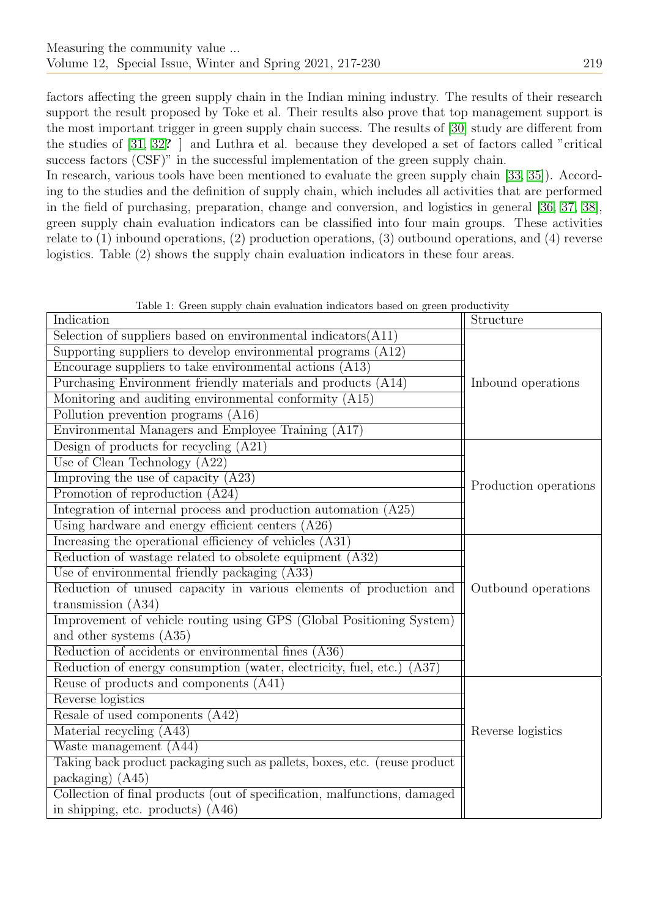factors affecting the green supply chain in the Indian mining industry. The results of their research support the result proposed by Toke et al. Their results also prove that top management support is the most important trigger in green supply chain success. The results of [\[30\]](#page-13-11) study are different from the studies of [\[31,](#page-13-12) [32](#page-13-13)? ] and Luthra et al. because they developed a set of factors called "critical success factors (CSF)" in the successful implementation of the green supply chain.

In research, various tools have been mentioned to evaluate the green supply chain [\[33,](#page-13-14) [35\]](#page-13-15)). According to the studies and the definition of supply chain, which includes all activities that are performed in the field of purchasing, preparation, change and conversion, and logistics in general [\[36,](#page-13-16) [37,](#page-13-17) [38\]](#page-13-18), green supply chain evaluation indicators can be classified into four main groups. These activities relate to (1) inbound operations, (2) production operations, (3) outbound operations, and (4) reverse logistics. Table (2) shows the supply chain evaluation indicators in these four areas.

| Table 1: Green supply chain evaluation indicators based on green productivity |  |
|-------------------------------------------------------------------------------|--|
|-------------------------------------------------------------------------------|--|

| Indication                                                                              | Structure             |
|-----------------------------------------------------------------------------------------|-----------------------|
| $\overline{\text{Selection of}}$ of suppliers based on environmental indicators $(A11)$ |                       |
| Supporting suppliers to develop environmental programs (A12)                            |                       |
| Encourage suppliers to take environmental actions (A13)                                 |                       |
| Purchasing Environment friendly materials and products (A14)                            | Inbound operations    |
| Monitoring and auditing environmental conformity (A15)                                  |                       |
| Pollution prevention programs (A16)                                                     |                       |
| Environmental Managers and Employee Training (A17)                                      |                       |
| Design of products for recycling $(A21)$                                                |                       |
| Use of Clean Technology $(A22)$                                                         |                       |
| Improving the use of capacity $(A23)$                                                   | Production operations |
| Promotion of reproduction (A24)                                                         |                       |
| Integration of internal process and production automation (A25)                         |                       |
| Using hardware and energy efficient centers (A26)                                       |                       |
| Increasing the operational efficiency of vehicles (A31)                                 |                       |
| Reduction of wastage related to obsolete equipment (A32)                                |                       |
| Use of environmental friendly packaging (A33)                                           |                       |
| Reduction of unused capacity in various elements of production and                      | Outbound operations   |
| transmission $(A34)$                                                                    |                       |
| Improvement of vehicle routing using GPS (Global Positioning System)                    |                       |
| and other systems (A35)                                                                 |                       |
| Reduction of accidents or environmental fines (A36)                                     |                       |
| Reduction of energy consumption (water, electricity, fuel, etc.)<br>(A37)               |                       |
| Reuse of products and components (A41)                                                  |                       |
| Reverse logistics                                                                       |                       |
| Resale of used components (A42)                                                         |                       |
| Material recycling (A43)                                                                | Reverse logistics     |
| Waste management (A44)                                                                  |                       |
| Taking back product packaging such as pallets, boxes, etc. (reuse product               |                       |
| packaging) $(A45)$                                                                      |                       |
| Collection of final products (out of specification, malfunctions, damaged               |                       |
| in shipping, etc. products) $(A46)$                                                     |                       |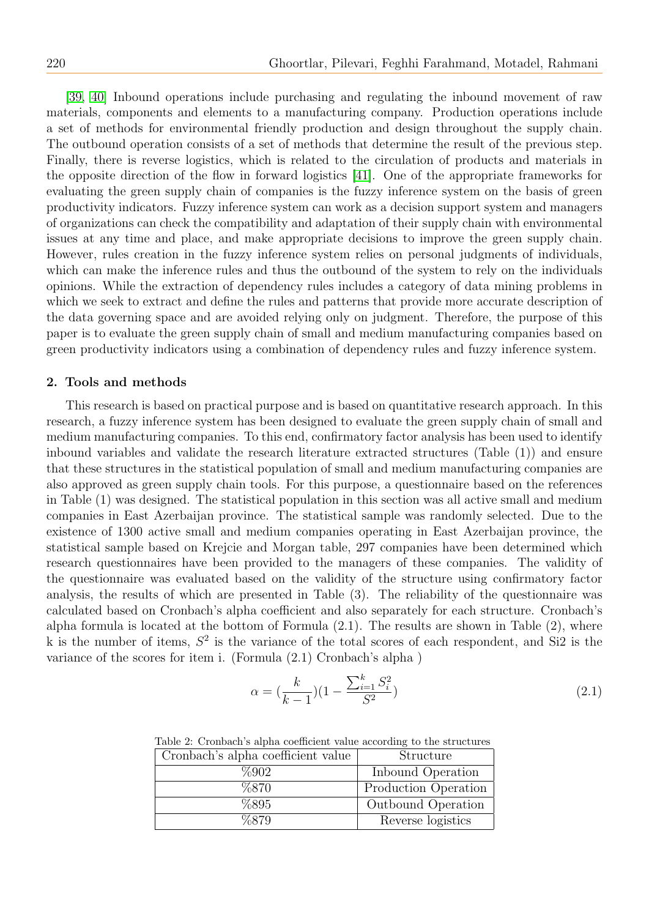[\[39,](#page-13-19) [40\]](#page-13-20) Inbound operations include purchasing and regulating the inbound movement of raw materials, components and elements to a manufacturing company. Production operations include a set of methods for environmental friendly production and design throughout the supply chain. The outbound operation consists of a set of methods that determine the result of the previous step. Finally, there is reverse logistics, which is related to the circulation of products and materials in the opposite direction of the flow in forward logistics [\[41\]](#page-13-21). One of the appropriate frameworks for evaluating the green supply chain of companies is the fuzzy inference system on the basis of green productivity indicators. Fuzzy inference system can work as a decision support system and managers of organizations can check the compatibility and adaptation of their supply chain with environmental issues at any time and place, and make appropriate decisions to improve the green supply chain. However, rules creation in the fuzzy inference system relies on personal judgments of individuals, which can make the inference rules and thus the outbound of the system to rely on the individuals opinions. While the extraction of dependency rules includes a category of data mining problems in which we seek to extract and define the rules and patterns that provide more accurate description of the data governing space and are avoided relying only on judgment. Therefore, the purpose of this paper is to evaluate the green supply chain of small and medium manufacturing companies based on green productivity indicators using a combination of dependency rules and fuzzy inference system.

#### 2. Tools and methods

This research is based on practical purpose and is based on quantitative research approach. In this research, a fuzzy inference system has been designed to evaluate the green supply chain of small and medium manufacturing companies. To this end, confirmatory factor analysis has been used to identify inbound variables and validate the research literature extracted structures (Table (1)) and ensure that these structures in the statistical population of small and medium manufacturing companies are also approved as green supply chain tools. For this purpose, a questionnaire based on the references in Table (1) was designed. The statistical population in this section was all active small and medium companies in East Azerbaijan province. The statistical sample was randomly selected. Due to the existence of 1300 active small and medium companies operating in East Azerbaijan province, the statistical sample based on Krejcie and Morgan table, 297 companies have been determined which research questionnaires have been provided to the managers of these companies. The validity of the questionnaire was evaluated based on the validity of the structure using confirmatory factor analysis, the results of which are presented in Table (3). The reliability of the questionnaire was calculated based on Cronbach's alpha coefficient and also separately for each structure. Cronbach's alpha formula is located at the bottom of Formula (2.1). The results are shown in Table (2), where k is the number of items,  $S^2$  is the variance of the total scores of each respondent, and Si2 is the variance of the scores for item i. (Formula (2.1) Cronbach's alpha )

$$
\alpha = \left(\frac{k}{k-1}\right)(1 - \frac{\sum_{i=1}^{k} S_i^2}{S^2})\tag{2.1}
$$

Table 2: Cronbach's alpha coefficient value according to the structures

| Cronbach's alpha coefficient value | Structure            |
|------------------------------------|----------------------|
| %902                               | Inbound Operation    |
| %870                               | Production Operation |
| %895                               | Outbound Operation   |
| %879                               | Reverse logistics    |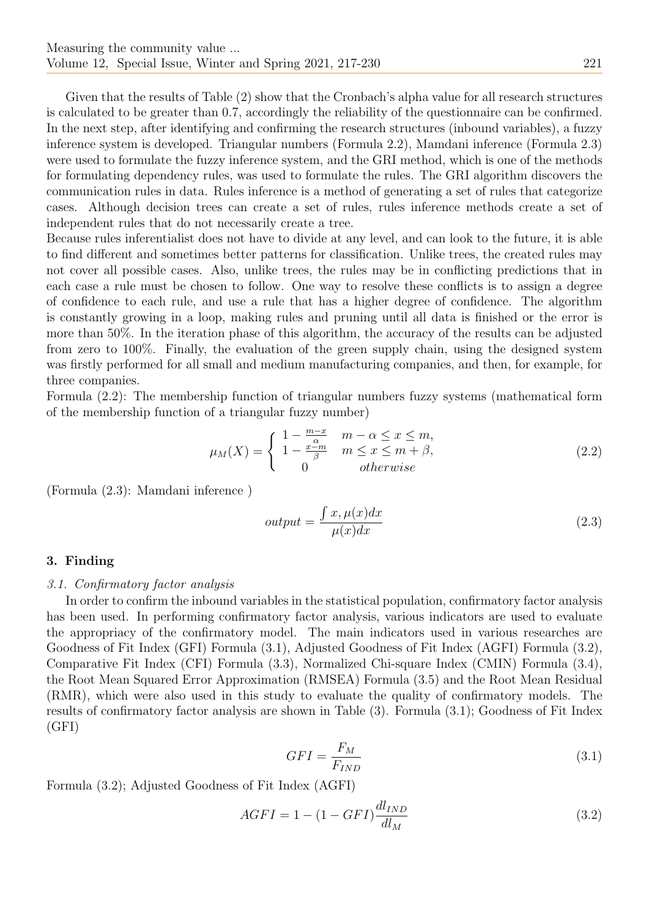Given that the results of Table (2) show that the Cronbach's alpha value for all research structures is calculated to be greater than 0.7, accordingly the reliability of the questionnaire can be confirmed. In the next step, after identifying and confirming the research structures (inbound variables), a fuzzy inference system is developed. Triangular numbers (Formula 2.2), Mamdani inference (Formula 2.3) were used to formulate the fuzzy inference system, and the GRI method, which is one of the methods for formulating dependency rules, was used to formulate the rules. The GRI algorithm discovers the communication rules in data. Rules inference is a method of generating a set of rules that categorize cases. Although decision trees can create a set of rules, rules inference methods create a set of independent rules that do not necessarily create a tree.

Because rules inferentialist does not have to divide at any level, and can look to the future, it is able to find different and sometimes better patterns for classification. Unlike trees, the created rules may not cover all possible cases. Also, unlike trees, the rules may be in conflicting predictions that in each case a rule must be chosen to follow. One way to resolve these conflicts is to assign a degree of confidence to each rule, and use a rule that has a higher degree of confidence. The algorithm is constantly growing in a loop, making rules and pruning until all data is finished or the error is more than 50%. In the iteration phase of this algorithm, the accuracy of the results can be adjusted from zero to 100%. Finally, the evaluation of the green supply chain, using the designed system was firstly performed for all small and medium manufacturing companies, and then, for example, for three companies.

Formula (2.2): The membership function of triangular numbers fuzzy systems (mathematical form of the membership function of a triangular fuzzy number)

$$
\mu_M(X) = \begin{cases} 1 - \frac{m-x}{\alpha} & m - \alpha \le x \le m, \\ 1 - \frac{x-m}{\beta} & m \le x \le m + \beta, \\ 0 & otherwise \end{cases}
$$
 (2.2)

(Formula (2.3): Mamdani inference )

$$
output = \frac{\int x, \mu(x)dx}{\mu(x)dx}
$$
\n(2.3)

## 3. Finding

#### 3.1. Confirmatory factor analysis

In order to confirm the inbound variables in the statistical population, confirmatory factor analysis has been used. In performing confirmatory factor analysis, various indicators are used to evaluate the appropriacy of the confirmatory model. The main indicators used in various researches are Goodness of Fit Index (GFI) Formula (3.1), Adjusted Goodness of Fit Index (AGFI) Formula (3.2), Comparative Fit Index (CFI) Formula (3.3), Normalized Chi-square Index (CMIN) Formula (3.4), the Root Mean Squared Error Approximation (RMSEA) Formula (3.5) and the Root Mean Residual (RMR), which were also used in this study to evaluate the quality of confirmatory models. The results of confirmatory factor analysis are shown in Table (3). Formula (3.1); Goodness of Fit Index (GFI)

$$
GFI = \frac{F_M}{F_{IND}}\tag{3.1}
$$

Formula (3.2); Adjusted Goodness of Fit Index (AGFI)

$$
AGFI = 1 - (1 - GFI) \frac{dl_{IND}}{dl_M}
$$
\n(3.2)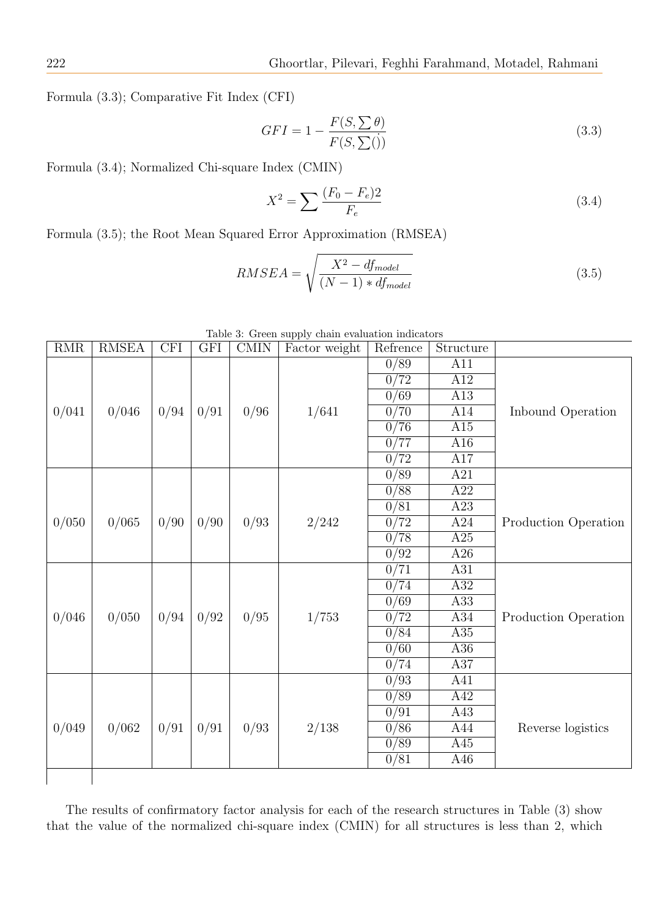Formula (3.3); Comparative Fit Index (CFI)

$$
GFI = 1 - \frac{F(S, \sum \theta)}{F(S, \sum())}
$$
\n(3.3)

Formula (3.4); Normalized Chi-square Index (CMIN)

$$
X^{2} = \sum \frac{(F_{0} - F_{e})2}{F_{e}} \tag{3.4}
$$

Formula (3.5); the Root Mean Squared Error Approximation (RMSEA)

$$
RMSEA = \sqrt{\frac{X^2 - df_{model}}{(N-1) * df_{model}}}
$$
\n(3.5)

|       | Table 3: Green supply chain evaluation indicators |            |            |             |               |                   |                  |                      |
|-------|---------------------------------------------------|------------|------------|-------------|---------------|-------------------|------------------|----------------------|
| RMR   | <b>RMSEA</b>                                      | <b>CFI</b> | <b>GFI</b> | <b>CMIN</b> | Factor weight | Refrence          | Structure        |                      |
|       |                                                   |            |            |             |               | 0/89              | A11              |                      |
|       |                                                   |            |            |             |               | 0/72              | A12              |                      |
|       |                                                   |            |            |             |               | 0/69              | A13              |                      |
| 0/041 | 0/046                                             | 0/94       | 0/91       | 0/96        | 1/641         | 0/70              | A14              | Inbound Operation    |
|       |                                                   |            |            |             |               | 0/76              | A15              |                      |
|       |                                                   |            |            |             |               | 0/77              | A16              |                      |
|       |                                                   |            |            |             |               | 0/72              | A17              |                      |
|       |                                                   |            |            |             |               | 0/89              | A21              |                      |
|       |                                                   |            |            |             |               | $\sqrt{0/88}$     | A22              |                      |
|       |                                                   |            |            |             |               | 0/81              | A23              |                      |
| 0/050 | 0/065                                             | 0/90       | 0/90       | 0/93        | 2/242         | 0/72              | A24              | Production Operation |
|       |                                                   |            |            |             |               | 0/78              | $\overline{A25}$ |                      |
|       |                                                   |            |            |             |               | 0/92              | A26              |                      |
|       |                                                   |            |            |             |               | 0/71              | A31              |                      |
|       |                                                   |            |            |             |               | 0/74              | A32              |                      |
|       |                                                   |            |            |             |               | $\sqrt{0/69}$     | A33              |                      |
| 0/046 | 0/050                                             | 0/94       | 0/92       | 0/95        | 1/753         | 0/72              | A34              | Production Operation |
|       |                                                   |            |            |             |               | 0/84              | A35              |                      |
|       |                                                   |            |            |             |               | $\overline{0/60}$ | A36              |                      |
|       |                                                   |            |            |             |               | 0/74              | A37              |                      |
|       |                                                   |            |            |             |               | 0/93              | A41              |                      |
|       |                                                   |            |            |             |               | $\sqrt{0/89}$     | A42              |                      |
|       |                                                   |            |            |             |               | 0/91              | A43              |                      |
| 0/049 | 0/062                                             | 0/91       | 0/91       | 0/93        | 2/138         | 0/86              | A44              | Reverse logistics    |
|       |                                                   |            |            |             |               | $\sqrt{0/89}$     | A45              |                      |
|       |                                                   |            |            |             |               | 0/81              | A46              |                      |
|       |                                                   |            |            |             |               |                   |                  |                      |

Table 3: Green supply chain evaluation indicators

The results of confirmatory factor analysis for each of the research structures in Table (3) show that the value of the normalized chi-square index (CMIN) for all structures is less than 2, which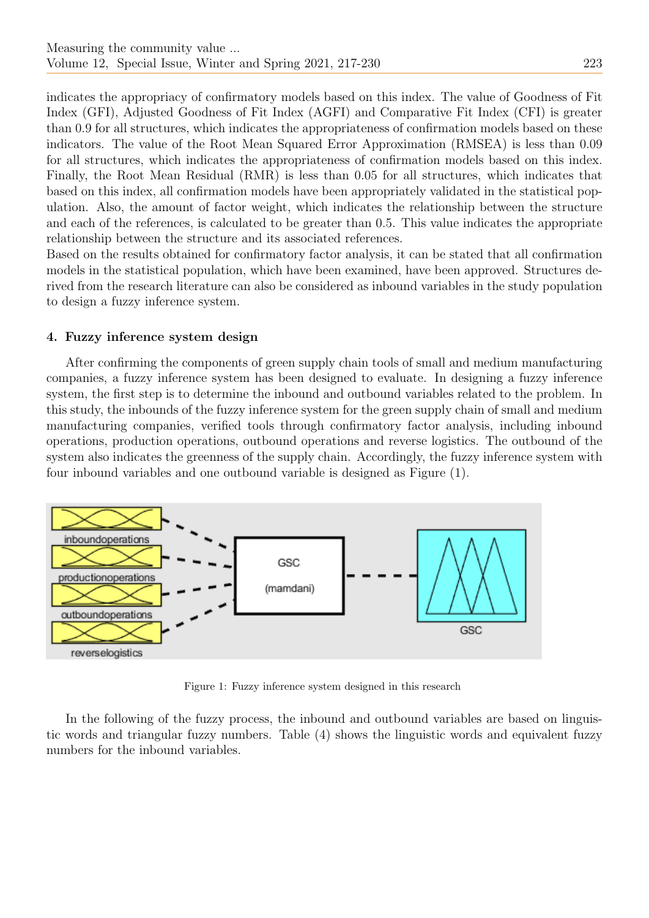indicates the appropriacy of confirmatory models based on this index. The value of Goodness of Fit Index (GFI), Adjusted Goodness of Fit Index (AGFI) and Comparative Fit Index (CFI) is greater than 0.9 for all structures, which indicates the appropriateness of confirmation models based on these indicators. The value of the Root Mean Squared Error Approximation (RMSEA) is less than 0.09 for all structures, which indicates the appropriateness of confirmation models based on this index. Finally, the Root Mean Residual (RMR) is less than 0.05 for all structures, which indicates that based on this index, all confirmation models have been appropriately validated in the statistical population. Also, the amount of factor weight, which indicates the relationship between the structure and each of the references, is calculated to be greater than 0.5. This value indicates the appropriate relationship between the structure and its associated references.

Based on the results obtained for confirmatory factor analysis, it can be stated that all confirmation models in the statistical population, which have been examined, have been approved. Structures derived from the research literature can also be considered as inbound variables in the study population to design a fuzzy inference system.

## 4. Fuzzy inference system design

After confirming the components of green supply chain tools of small and medium manufacturing companies, a fuzzy inference system has been designed to evaluate. In designing a fuzzy inference system, the first step is to determine the inbound and outbound variables related to the problem. In this study, the inbounds of the fuzzy inference system for the green supply chain of small and medium manufacturing companies, verified tools through confirmatory factor analysis, including inbound operations, production operations, outbound operations and reverse logistics. The outbound of the system also indicates the greenness of the supply chain. Accordingly, the fuzzy inference system with four inbound variables and one outbound variable is designed as Figure (1).



Figure 1: Fuzzy inference system designed in this research

In the following of the fuzzy process, the inbound and outbound variables are based on linguistic words and triangular fuzzy numbers. Table (4) shows the linguistic words and equivalent fuzzy numbers for the inbound variables.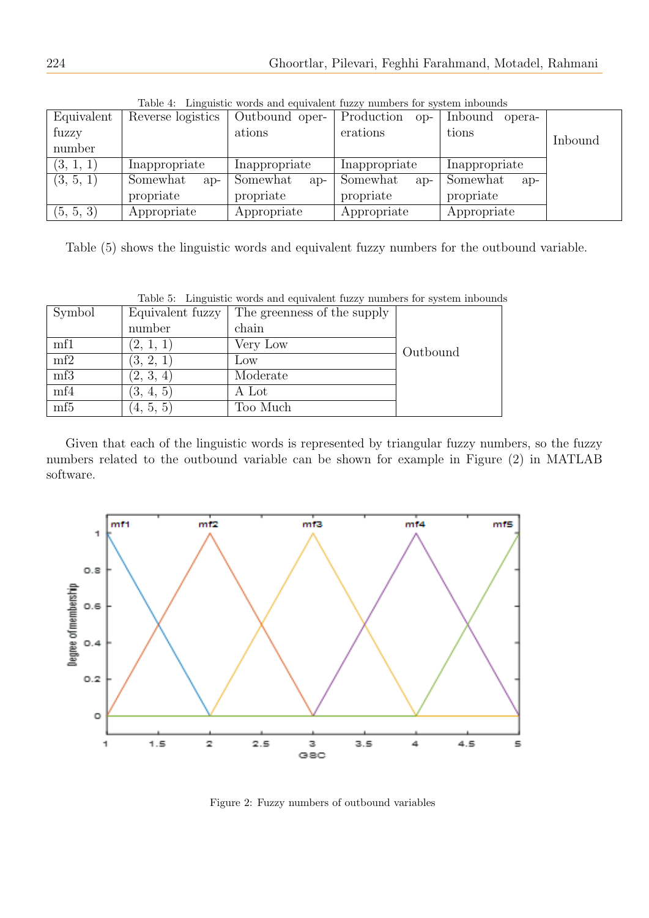| TOWARD THE TRANSMISSION IN OTHER COMPANY OF HOTOTAL TORING I TERRITORY TO THE STATE AND THROUGH THE TRANSMISSIO |                   |                   |                     |                   |         |  |
|-----------------------------------------------------------------------------------------------------------------|-------------------|-------------------|---------------------|-------------------|---------|--|
| Equivalent                                                                                                      | Reverse logistics | Outbound oper-    | Production<br>$OP-$ | Inbound<br>opera- |         |  |
| fuzzy                                                                                                           |                   | ations            | erations            | tions             | Inbound |  |
| number                                                                                                          |                   |                   |                     |                   |         |  |
| (3, 1, 1)                                                                                                       | Inappropriate     | Inappropriate     | Inappropriate       | Inappropriate     |         |  |
| (3, 5, 1)                                                                                                       | Somewhat<br>$ap-$ | Somewhat<br>$ap-$ | Somewhat<br>$a_{D}$ | Somewhat<br>$ap-$ |         |  |
|                                                                                                                 | propriate         | propriate         | propriate           | propriate         |         |  |
| (5, 5, 3)                                                                                                       | Appropriate       | Appropriate       | Appropriate         | Appropriate       |         |  |

Table 4: Linguistic words and equivalent fuzzy numbers for system inbounds

Table (5) shows the linguistic words and equivalent fuzzy numbers for the outbound variable.

|                 |                  | Table 5: Linguistic words and equivalent fuzzy numbers for system inbound |          |
|-----------------|------------------|---------------------------------------------------------------------------|----------|
| Symbol          | Equivalent fuzzy | The greenness of the supply                                               |          |
|                 | number           | chain                                                                     |          |
| mfl             | (2, 1, 1)        | Very Low                                                                  | Outbound |
| mf2             | (3, 2, 1)        | Low                                                                       |          |
| mf3             | (2, 3, 4)        | Moderate                                                                  |          |
| mf4             | (3, 4, 5)        | A Lot                                                                     |          |
| mf <sub>5</sub> | (4, 5, 5)        | Too Much                                                                  |          |

Table 5: Linguistic words and equivalent fuzzy numbers for system inbounds

Given that each of the linguistic words is represented by triangular fuzzy numbers, so the fuzzy numbers related to the outbound variable can be shown for example in Figure (2) in MATLAB software.



Figure 2: Fuzzy numbers of outbound variables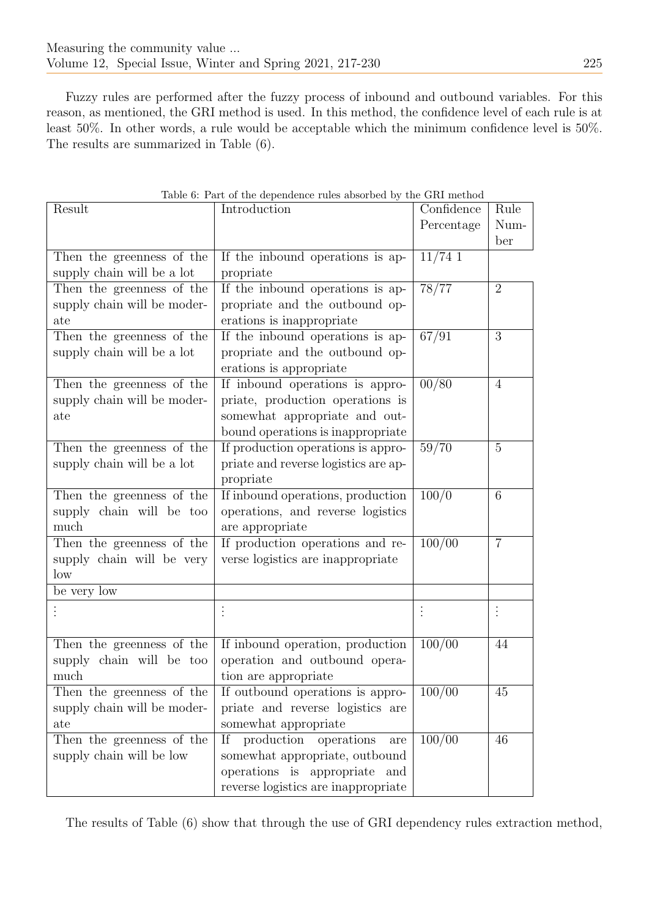Fuzzy rules are performed after the fuzzy process of inbound and outbound variables. For this reason, as mentioned, the GRI method is used. In this method, the confidence level of each rule is at least 50%. In other words, a rule would be acceptable which the minimum confidence level is 50%. The results are summarized in Table (6).

| Result                      | Table 6: Part of the dependence rules absorbed by the GRI method<br>Introduction | Confidence | Rule           |
|-----------------------------|----------------------------------------------------------------------------------|------------|----------------|
|                             |                                                                                  | Percentage | Num-           |
|                             |                                                                                  |            | ber            |
| Then the greenness of the   | If the inbound operations is ap-                                                 | $11/74$ 1  |                |
| supply chain will be a lot  | propriate                                                                        |            |                |
| Then the greenness of the   | If the inbound operations is ap-                                                 | 78/77      | $\overline{2}$ |
| supply chain will be moder- | propriate and the outbound op-                                                   |            |                |
| ate                         | erations is inappropriate                                                        |            |                |
|                             | If the inbound operations is ap-                                                 | 67/91      | 3              |
| Then the greenness of the   |                                                                                  |            |                |
| supply chain will be a lot  | propriate and the outbound op-                                                   |            |                |
|                             | erations is appropriate                                                          |            |                |
| Then the greenness of the   | If inbound operations is appro-                                                  | 00/80      | $\overline{4}$ |
| supply chain will be moder- | priate, production operations is                                                 |            |                |
| ate                         | somewhat appropriate and out-                                                    |            |                |
|                             | bound operations is inappropriate                                                |            |                |
| Then the greenness of the   | If production operations is appro-                                               | 59/70      | $\overline{5}$ |
| supply chain will be a lot  | priate and reverse logistics are ap-                                             |            |                |
|                             | propriate                                                                        |            |                |
| Then the greenness of the   | If inbound operations, production                                                | 100/0      | 6              |
| supply chain will be too    | operations, and reverse logistics                                                |            |                |
| much                        | are appropriate                                                                  |            |                |
| Then the greenness of the   | If production operations and re-                                                 | 100/00     | $\overline{7}$ |
| supply chain will be very   | verse logistics are inappropriate                                                |            |                |
| low                         |                                                                                  |            |                |
| be very low                 |                                                                                  |            |                |
|                             |                                                                                  |            |                |
|                             |                                                                                  |            |                |
| Then the greenness of the   | If inbound operation, production                                                 | 100/00     | 44             |
| supply chain will be too    | operation and outbound opera-                                                    |            |                |
| much                        | tion are appropriate                                                             |            |                |
| Then the greenness of the   | If outbound operations is appro-                                                 | 100/00     | 45             |
| supply chain will be moder- | priate and reverse logistics are                                                 |            |                |
| ate                         | somewhat appropriate                                                             |            |                |
| Then the greenness of the   | production<br>Ιf<br>operations<br>are                                            | 100/00     | 46             |
| supply chain will be low    | somewhat appropriate, outbound                                                   |            |                |
|                             | operations is appropriate<br>and                                                 |            |                |
|                             | reverse logistics are inappropriate                                              |            |                |

Table 6: Part of the dependence rules absorbed by the GRI method

The results of Table (6) show that through the use of GRI dependency rules extraction method,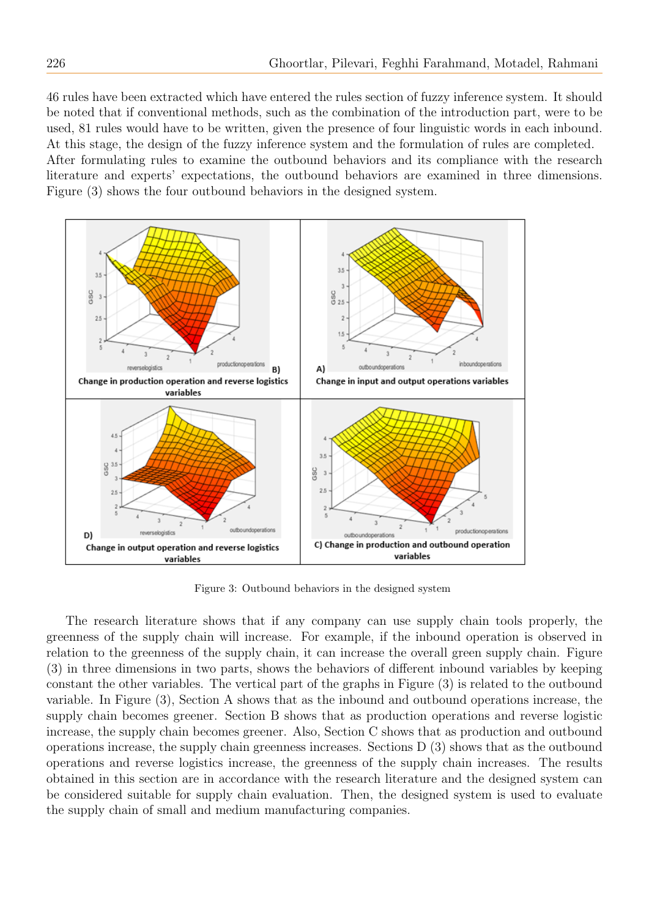46 rules have been extracted which have entered the rules section of fuzzy inference system. It should be noted that if conventional methods, such as the combination of the introduction part, were to be used, 81 rules would have to be written, given the presence of four linguistic words in each inbound. At this stage, the design of the fuzzy inference system and the formulation of rules are completed. After formulating rules to examine the outbound behaviors and its compliance with the research literature and experts' expectations, the outbound behaviors are examined in three dimensions. Figure (3) shows the four outbound behaviors in the designed system.



Figure 3: Outbound behaviors in the designed system

The research literature shows that if any company can use supply chain tools properly, the greenness of the supply chain will increase. For example, if the inbound operation is observed in relation to the greenness of the supply chain, it can increase the overall green supply chain. Figure (3) in three dimensions in two parts, shows the behaviors of different inbound variables by keeping constant the other variables. The vertical part of the graphs in Figure (3) is related to the outbound variable. In Figure (3), Section A shows that as the inbound and outbound operations increase, the supply chain becomes greener. Section B shows that as production operations and reverse logistic increase, the supply chain becomes greener. Also, Section C shows that as production and outbound operations increase, the supply chain greenness increases. Sections D (3) shows that as the outbound operations and reverse logistics increase, the greenness of the supply chain increases. The results obtained in this section are in accordance with the research literature and the designed system can be considered suitable for supply chain evaluation. Then, the designed system is used to evaluate the supply chain of small and medium manufacturing companies.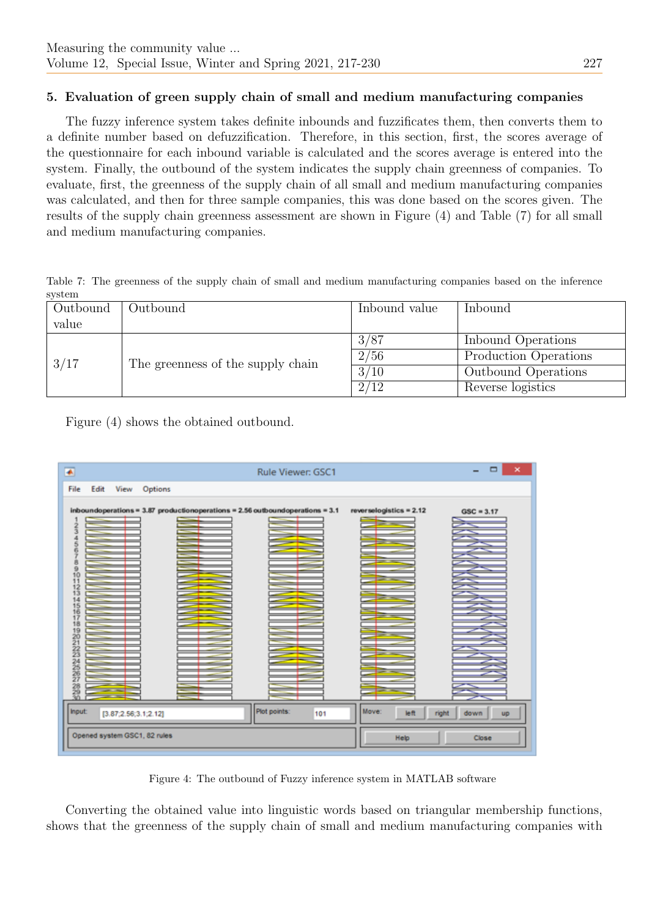# 5. Evaluation of green supply chain of small and medium manufacturing companies

The fuzzy inference system takes definite inbounds and fuzzificates them, then converts them to a definite number based on defuzzification. Therefore, in this section, first, the scores average of the questionnaire for each inbound variable is calculated and the scores average is entered into the system. Finally, the outbound of the system indicates the supply chain greenness of companies. To evaluate, first, the greenness of the supply chain of all small and medium manufacturing companies was calculated, and then for three sample companies, this was done based on the scores given. The results of the supply chain greenness assessment are shown in Figure (4) and Table (7) for all small and medium manufacturing companies.

Table 7: The greenness of the supply chain of small and medium manufacturing companies based on the inference system

| Outbound | Outbound                          | Inbound value  | Inbound                    |  |
|----------|-----------------------------------|----------------|----------------------------|--|
| value    |                                   |                |                            |  |
| 3/17     | The greenness of the supply chain | 3/87           | Inbound Operations         |  |
|          |                                   | 2/56           | Production Operations      |  |
|          |                                   | $\frac{3}{10}$ | <b>Outbound Operations</b> |  |
|          |                                   | 2/12           | Reverse logistics          |  |

Figure (4) shows the obtained outbound.



Figure 4: The outbound of Fuzzy inference system in MATLAB software

Converting the obtained value into linguistic words based on triangular membership functions, shows that the greenness of the supply chain of small and medium manufacturing companies with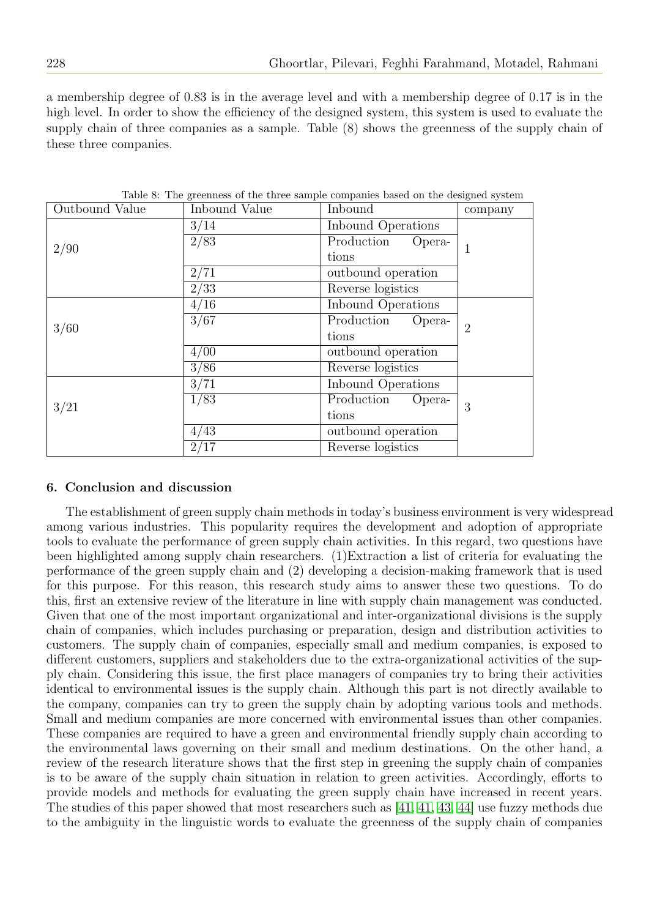a membership degree of 0.83 is in the average level and with a membership degree of 0.17 is in the high level. In order to show the efficiency of the designed system, this system is used to evaluate the supply chain of three companies as a sample. Table (8) shows the greenness of the supply chain of these three companies.

| Outbound Value | Inbound Value | Inbound              | company        |  |
|----------------|---------------|----------------------|----------------|--|
|                | 3/14          | Inbound Operations   |                |  |
|                | 2/83          | Production<br>Opera- |                |  |
| 2/90           |               | tions                | 1              |  |
|                | 2/71          | outbound operation   |                |  |
|                | 2/33          | Reverse logistics    |                |  |
|                | 4/16          | Inbound Operations   |                |  |
|                | 3/67          | Production<br>Opera- | $\overline{2}$ |  |
| 3/60           |               | tions                |                |  |
|                | 4/00          | outbound operation   |                |  |
|                | 3/86          | Reverse logistics    |                |  |
|                | 3/71          | Inbound Operations   |                |  |
|                | 1/83          | Production<br>Opera- | 3              |  |
| 3/21           |               | tions                |                |  |
|                | 4/43          | outbound operation   |                |  |
|                | 2/17          | Reverse logistics    |                |  |

Table 8: The greenness of the three sample companies based on the designed system

# 6. Conclusion and discussion

The establishment of green supply chain methods in today's business environment is very widespread among various industries. This popularity requires the development and adoption of appropriate tools to evaluate the performance of green supply chain activities. In this regard, two questions have been highlighted among supply chain researchers. (1)Extraction a list of criteria for evaluating the performance of the green supply chain and (2) developing a decision-making framework that is used for this purpose. For this reason, this research study aims to answer these two questions. To do this, first an extensive review of the literature in line with supply chain management was conducted. Given that one of the most important organizational and inter-organizational divisions is the supply chain of companies, which includes purchasing or preparation, design and distribution activities to customers. The supply chain of companies, especially small and medium companies, is exposed to different customers, suppliers and stakeholders due to the extra-organizational activities of the supply chain. Considering this issue, the first place managers of companies try to bring their activities identical to environmental issues is the supply chain. Although this part is not directly available to the company, companies can try to green the supply chain by adopting various tools and methods. Small and medium companies are more concerned with environmental issues than other companies. These companies are required to have a green and environmental friendly supply chain according to the environmental laws governing on their small and medium destinations. On the other hand, a review of the research literature shows that the first step in greening the supply chain of companies is to be aware of the supply chain situation in relation to green activities. Accordingly, efforts to provide models and methods for evaluating the green supply chain have increased in recent years. The studies of this paper showed that most researchers such as [\[41, 41,](#page-13-21) [43,](#page-13-22) [44\]](#page-13-23) use fuzzy methods due to the ambiguity in the linguistic words to evaluate the greenness of the supply chain of companies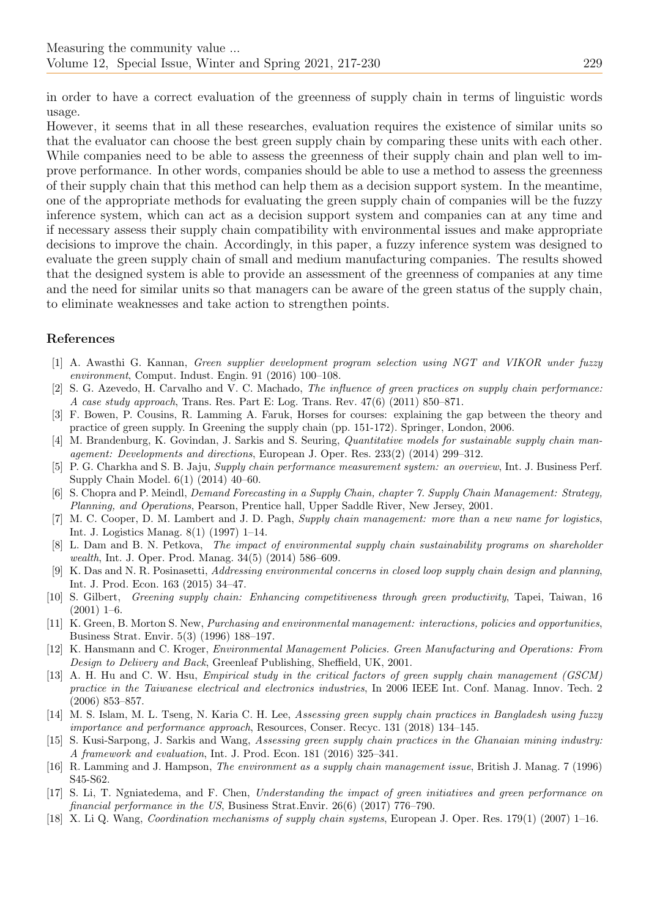in order to have a correct evaluation of the greenness of supply chain in terms of linguistic words usage.

However, it seems that in all these researches, evaluation requires the existence of similar units so that the evaluator can choose the best green supply chain by comparing these units with each other. While companies need to be able to assess the greenness of their supply chain and plan well to improve performance. In other words, companies should be able to use a method to assess the greenness of their supply chain that this method can help them as a decision support system. In the meantime, one of the appropriate methods for evaluating the green supply chain of companies will be the fuzzy inference system, which can act as a decision support system and companies can at any time and if necessary assess their supply chain compatibility with environmental issues and make appropriate decisions to improve the chain. Accordingly, in this paper, a fuzzy inference system was designed to evaluate the green supply chain of small and medium manufacturing companies. The results showed that the designed system is able to provide an assessment of the greenness of companies at any time and the need for similar units so that managers can be aware of the green status of the supply chain, to eliminate weaknesses and take action to strengthen points.

## References

- <span id="page-12-0"></span>[1] A. Awasthi G. Kannan, Green supplier development program selection using NGT and VIKOR under fuzzy environment, Comput. Indust. Engin. 91 (2016) 100–108.
- <span id="page-12-1"></span>[2] S. G. Azevedo, H. Carvalho and V. C. Machado, The influence of green practices on supply chain performance: A case study approach, Trans. Res. Part E: Log. Trans. Rev. 47(6) (2011) 850–871.
- <span id="page-12-2"></span>[3] F. Bowen, P. Cousins, R. Lamming A. Faruk, Horses for courses: explaining the gap between the theory and practice of green supply. In Greening the supply chain (pp. 151-172). Springer, London, 2006.
- <span id="page-12-3"></span>[4] M. Brandenburg, K. Govindan, J. Sarkis and S. Seuring, *Quantitative models for sustainable supply chain man*agement: Developments and directions, European J. Oper. Res. 233(2) (2014) 299–312.
- <span id="page-12-4"></span>[5] P. G. Charkha and S. B. Jaju, Supply chain performance measurement system: an overview, Int. J. Business Perf. Supply Chain Model. 6(1) (2014) 40–60.
- <span id="page-12-5"></span>[6] S. Chopra and P. Meindl, Demand Forecasting in a Supply Chain, chapter 7. Supply Chain Management: Strategy, Planning, and Operations, Pearson, Prentice hall, Upper Saddle River, New Jersey, 2001.
- <span id="page-12-6"></span>[7] M. C. Cooper, D. M. Lambert and J. D. Pagh, Supply chain management: more than a new name for logistics, Int. J. Logistics Manag. 8(1) (1997) 1–14.
- <span id="page-12-7"></span>[8] L. Dam and B. N. Petkova, The impact of environmental supply chain sustainability programs on shareholder wealth, Int. J. Oper. Prod. Manag. 34(5) (2014) 586–609.
- <span id="page-12-8"></span>[9] K. Das and N. R. Posinasetti, Addressing environmental concerns in closed loop supply chain design and planning, Int. J. Prod. Econ. 163 (2015) 34–47.
- <span id="page-12-9"></span>[10] S. Gilbert, Greening supply chain: Enhancing competitiveness through green productivity, Tapei, Taiwan, 16  $(2001)$  1–6.
- <span id="page-12-10"></span>[11] K. Green, B. Morton S. New, Purchasing and environmental management: interactions, policies and opportunities, Business Strat. Envir. 5(3) (1996) 188–197.
- <span id="page-12-11"></span>[12] K. Hansmann and C. Kroger, Environmental Management Policies. Green Manufacturing and Operations: From Design to Delivery and Back, Greenleaf Publishing, Sheffield, UK, 2001.
- <span id="page-12-12"></span>[13] A. H. Hu and C. W. Hsu, Empirical study in the critical factors of green supply chain management (GSCM) practice in the Taiwanese electrical and electronics industries, In 2006 IEEE Int. Conf. Manag. Innov. Tech. 2 (2006) 853–857.
- <span id="page-12-13"></span>[14] M. S. Islam, M. L. Tseng, N. Karia C. H. Lee, Assessing green supply chain practices in Bangladesh using fuzzy importance and performance approach, Resources, Conser. Recyc. 131 (2018) 134–145.
- <span id="page-12-14"></span>[15] S. Kusi-Sarpong, J. Sarkis and Wang, Assessing green supply chain practices in the Ghanaian mining industry: A framework and evaluation, Int. J. Prod. Econ. 181 (2016) 325–341.
- <span id="page-12-15"></span>[16] R. Lamming and J. Hampson, The environment as a supply chain management issue, British J. Manag. 7 (1996) S45-S62.
- <span id="page-12-16"></span>[17] S. Li, T. Ngniatedema, and F. Chen, Understanding the impact of green initiatives and green performance on financial performance in the US, Business Strat.Envir. 26(6) (2017) 776–790.
- <span id="page-12-17"></span>[18] X. Li Q. Wang, Coordination mechanisms of supply chain systems, European J. Oper. Res. 179(1) (2007) 1–16.